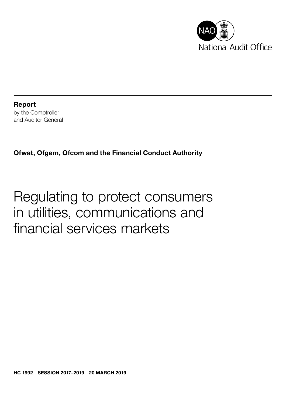

Report by the Comptroller and Auditor General

Ofwat, Ofgem, Ofcom and the Financial Conduct Authority

# Regulating to protect consumers in utilities, communications and financial services markets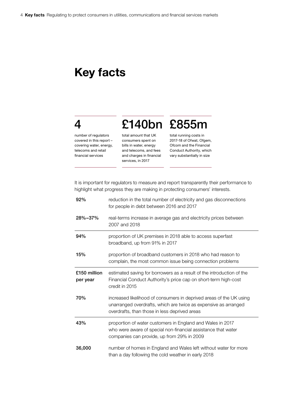# Key facts

# 4

number of regulators covered in this report – covering water, energy, telecoms and retail financial services

total amount that UK consumers spent on bills in water, energy and telecoms, and fees and charges in financial services, in 2017

total running costs in 2017-18 of Ofwat, Ofgem, Ofcom and the Financial Conduct Authority, which vary substantially in size

It is important for regulators to measure and report transparently their performance to highlight what progress they are making in protecting consumers' interests.

£140bn £855m

| 92%                      | reduction in the total number of electricity and gas disconnections<br>for people in debt between 2016 and 2017                                                                         |
|--------------------------|-----------------------------------------------------------------------------------------------------------------------------------------------------------------------------------------|
| 28%-37%                  | real-terms increase in average gas and electricity prices between<br>2007 and 2018                                                                                                      |
| 94%                      | proportion of UK premises in 2018 able to access superfast<br>broadband, up from 91% in 2017                                                                                            |
| 15%                      | proportion of broadband customers in 2018 who had reason to<br>complain, the most common issue being connection problems                                                                |
| £150 million<br>per year | estimated saving for borrowers as a result of the introduction of the<br>Financial Conduct Authority's price cap on short-term high-cost<br>credit in 2015                              |
| 70%                      | increased likelihood of consumers in deprived areas of the UK using<br>unarranged overdrafts, which are twice as expensive as arranged<br>overdrafts, than those in less deprived areas |
| 43%                      | proportion of water customers in England and Wales in 2017<br>who were aware of special non-financial assistance that water<br>companies can provide, up from 29% in 2009               |
| 36,000                   | number of homes in England and Wales left without water for more<br>than a day following the cold weather in early 2018                                                                 |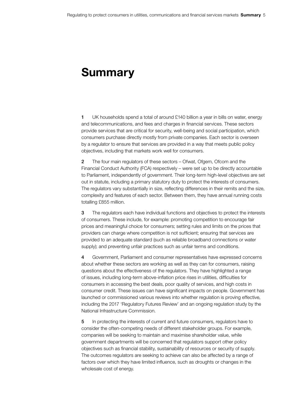# Summary

1 UK households spend a total of around £140 billion a year in bills on water, energy and telecommunications, and fees and charges in financial services. These sectors provide services that are critical for security, well-being and social participation, which consumers purchase directly mostly from private companies. Each sector is overseen by a regulator to ensure that services are provided in a way that meets public policy objectives, including that markets work well for consumers.

2 The four main regulators of these sectors – Ofwat, Ofgem, Ofcom and the Financial Conduct Authority (FCA) respectively – were set up to be directly accountable to Parliament, independently of government. Their long-term high-level objectives are set out in statute, including a primary statutory duty to protect the interests of consumers. The regulators vary substantially in size, reflecting differences in their remits and the size, complexity and features of each sector. Between them, they have annual running costs totalling £855 million.

3 The regulators each have individual functions and objectives to protect the interests of consumers. These include, for example: promoting competition to encourage fair prices and meaningful choice for consumers; setting rules and limits on the prices that providers can charge where competition is not sufficient; ensuring that services are provided to an adequate standard (such as reliable broadband connections or water supply); and preventing unfair practices such as unfair terms and conditions.

4 Government, Parliament and consumer representatives have expressed concerns about whether these sectors are working as well as they can for consumers, raising questions about the effectiveness of the regulators. They have highlighted a range of issues, including long-term above-inflation price rises in utilities, difficulties for consumers in accessing the best deals, poor quality of services, and high costs in consumer credit. These issues can have significant impacts on people. Government has launched or commissioned various reviews into whether regulation is proving effective, including the 2017 'Regulatory Futures Review' and an ongoing regulation study by the National Infrastructure Commission.

5 In protecting the interests of current and future consumers, regulators have to consider the often-competing needs of different stakeholder groups. For example, companies will be seeking to maintain and maximise shareholder value, while government departments will be concerned that regulators support other policy objectives such as financial stability, sustainability of resources or security of supply. The outcomes regulators are seeking to achieve can also be affected by a range of factors over which they have limited influence, such as droughts or changes in the wholesale cost of energy.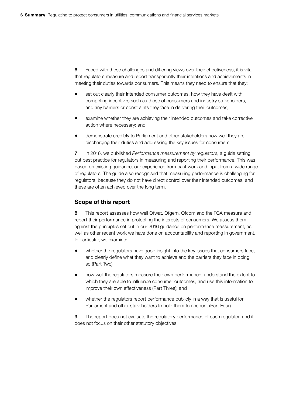6 Faced with these challenges and differing views over their effectiveness, it is vital that regulators measure and report transparently their intentions and achievements in meeting their duties towards consumers. This means they need to ensure that they:

- set out clearly their intended consumer outcomes, how they have dealt with competing incentives such as those of consumers and industry stakeholders, and any barriers or constraints they face in delivering their outcomes;
- examine whether they are achieving their intended outcomes and take corrective action where necessary; and
- demonstrate credibly to Parliament and other stakeholders how well they are discharging their duties and addressing the key issues for consumers.

7 In 2016, we published *Performance measurement by regulators*, a guide setting out best practice for regulators in measuring and reporting their performance. This was based on existing guidance, our experience from past work and input from a wide range of regulators. The guide also recognised that measuring performance is challenging for regulators, because they do not have direct control over their intended outcomes, and these are often achieved over the long term.

## Scope of this report

8 This report assesses how well Ofwat, Ofgem, Ofcom and the FCA measure and report their performance in protecting the interests of consumers. We assess them against the principles set out in our 2016 guidance on performance measurement, as well as other recent work we have done on accountability and reporting in government. In particular, we examine:

- whether the regulators have good insight into the key issues that consumers face, and clearly define what they want to achieve and the barriers they face in doing so (Part Two);
- how well the regulators measure their own performance, understand the extent to which they are able to influence consumer outcomes, and use this information to improve their own effectiveness (Part Three); and
- whether the regulators report performance publicly in a way that is useful for Parliament and other stakeholders to hold them to account (Part Four).

9 The report does not evaluate the regulatory performance of each regulator, and it does not focus on their other statutory objectives.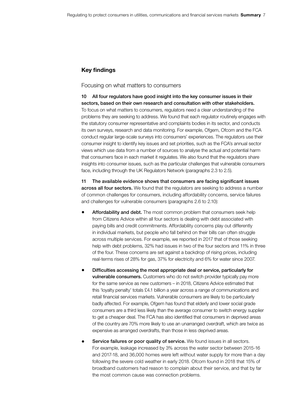### Key findings

#### Focusing on what matters to consumers

10 All four regulators have good insight into the key consumer issues in their sectors, based on their own research and consultation with other stakeholders. To focus on what matters to consumers, regulators need a clear understanding of the problems they are seeking to address. We found that each regulator routinely engages with the statutory consumer representative and complaints bodies in its sector, and conducts its own surveys, research and data monitoring. For example, Ofgem, Ofcom and the FCA conduct regular large-scale surveys into consumers' experiences. The regulators use their consumer insight to identify key issues and set priorities, such as the FCA's annual sector views which use data from a number of sources to analyse the actual and potential harm that consumers face in each market it regulates. We also found that the regulators share insights into consumer issues, such as the particular challenges that vulnerable consumers face, including through the UK Regulators Network (paragraphs 2.3 to 2.5).

11 The available evidence shows that consumers are facing significant issues across all four sectors. We found that the regulators are seeking to address a number of common challenges for consumers, including affordability concerns, service failures and challenges for vulnerable consumers (paragraphs 2.6 to 2.10):

- Affordability and debt. The most common problem that consumers seek help from Citizens Advice within all four sectors is dealing with debt associated with paying bills and credit commitments. Affordability concerns play out differently in individual markets, but people who fall behind on their bills can often struggle across multiple services. For example, we reported in 2017 that of those seeking help with debt problems, 32% had issues in two of the four sectors and 11% in three of the four. These concerns are set against a backdrop of rising prices, including real-terms rises of 28% for gas, 37% for electricity and 6% for water since 2007.
- Difficulties accessing the most appropriate deal or service, particularly for **vulnerable consumers.** Customers who do not switch provider typically pay more for the same service as new customers – in 2018, Citizens Advice estimated that this 'loyalty penalty' totals £4.1 billion a year across a range of communications and retail financial services markets. Vulnerable consumers are likely to be particularly badly affected. For example, Ofgem has found that elderly and lower social grade consumers are a third less likely than the average consumer to switch energy supplier to get a cheaper deal. The FCA has also identified that consumers in deprived areas of the country are 70% more likely to use an unarranged overdraft, which are twice as expensive as arranged overdrafts, than those in less deprived areas.
- Service failures or poor quality of service. We found issues in all sectors. For example, leakage increased by 3% across the water sector between 2015-16 and 2017-18, and 36,000 homes were left without water supply for more than a day following the severe cold weather in early 2018. Ofcom found in 2018 that 15% of broadband customers had reason to complain about their service, and that by far the most common cause was connection problems.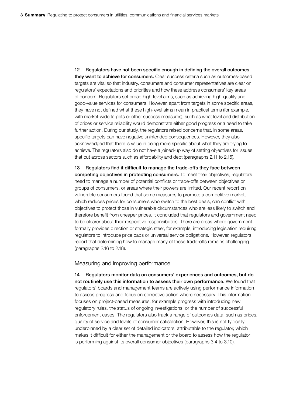12 Regulators have not been specific enough in defining the overall outcomes they want to achieve for consumers. Clear success criteria such as outcomes-based targets are vital so that industry, consumers and consumer representatives are clear on regulators' expectations and priorities and how these address consumers' key areas of concern. Regulators set broad high-level aims, such as achieving high-quality and good-value services for consumers. However, apart from targets in some specific areas, they have not defined what these high-level aims mean in practical terms (for example, with market-wide targets or other success measures), such as what level and distribution of prices or service reliability would demonstrate either good progress or a need to take further action. During our study, the regulators raised concerns that, in some areas, specific targets can have negative unintended consequences. However, they also acknowledged that there is value in being more specific about what they are trying to achieve. The regulators also do not have a joined-up way of setting objectives for issues that cut across sectors such as affordability and debt (paragraphs 2.11 to 2.15).

13 Regulators find it difficult to manage the trade-offs they face between competing objectives in protecting consumers. To meet their objectives, regulators need to manage a number of potential conflicts or trade-offs between objectives or groups of consumers, or areas where their powers are limited. Our recent report on vulnerable consumers found that some measures to promote a competitive market, which reduces prices for consumers who switch to the best deals, can conflict with objectives to protect those in vulnerable circumstances who are less likely to switch and therefore benefit from cheaper prices. It concluded that regulators and government need to be clearer about their respective responsibilities. There are areas where government formally provides direction or strategic steer, for example, introducing legislation requiring regulators to introduce price caps or universal service obligations. However, regulators report that determining how to manage many of these trade-offs remains challenging (paragraphs 2.16 to 2.18).

#### Measuring and improving performance

14 Regulators monitor data on consumers' experiences and outcomes, but do not routinely use this information to assess their own performance. We found that regulators' boards and management teams are actively using performance information to assess progress and focus on corrective action where necessary. This information focuses on project-based measures, for example progress with introducing new regulatory rules, the status of ongoing investigations, or the number of successful enforcement cases. The regulators also track a range of outcomes data, such as prices, quality of service and levels of consumer satisfaction. However, this is not typically underpinned by a clear set of detailed indicators, attributable to the regulator, which makes it difficult for either the management or the board to assess how the regulator is performing against its overall consumer objectives (paragraphs 3.4 to 3.10).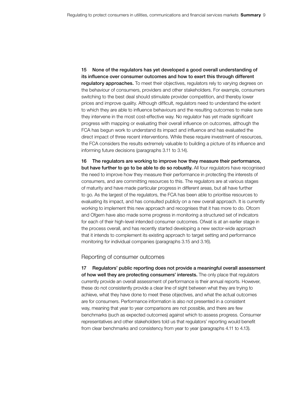15 None of the regulators has yet developed a good overall understanding of its influence over consumer outcomes and how to exert this through different **regulatory approaches.** To meet their objectives, regulators rely to varying degrees on the behaviour of consumers, providers and other stakeholders. For example, consumers switching to the best deal should stimulate provider competition, and thereby lower prices and improve quality. Although difficult, regulators need to understand the extent to which they are able to influence behaviours and the resulting outcomes to make sure they intervene in the most cost-effective way. No regulator has yet made significant progress with mapping or evaluating their overall influence on outcomes, although the FCA has begun work to understand its impact and influence and has evaluated the direct impact of three recent interventions. While these require investment of resources, the FCA considers the results extremely valuable to building a picture of its influence and informing future decisions (paragraphs 3.11 to 3.14).

16 The regulators are working to improve how they measure their performance, but have further to go to be able to do so robustly. All four regulators have recognised the need to improve how they measure their performance in protecting the interests of consumers, and are committing resources to this. The regulators are at various stages of maturity and have made particular progress in different areas, but all have further to go. As the largest of the regulators, the FCA has been able to prioritise resources to evaluating its impact, and has consulted publicly on a new overall approach. It is currently working to implement this new approach and recognises that it has more to do. Ofcom and Ofgem have also made some progress in monitoring a structured set of indicators for each of their high-level intended consumer outcomes. Ofwat is at an earlier stage in the process overall, and has recently started developing a new sector-wide approach that it intends to complement its existing approach to target setting and performance monitoring for individual companies (paragraphs 3.15 and 3.16).

#### Reporting of consumer outcomes

17 Regulators' public reporting does not provide a meaningful overall assessment of how well they are protecting consumers' interests. The only place that regulators currently provide an overall assessment of performance is their annual reports. However, these do not consistently provide a clear line of sight between what they are trying to achieve, what they have done to meet these objectives, and what the actual outcomes are for consumers. Performance information is also not presented in a consistent way, meaning that year to year comparisons are not possible, and there are few benchmarks (such as expected outcomes) against which to assess progress. Consumer representatives and other stakeholders told us that regulators' reporting would benefit from clear benchmarks and consistency from year to year (paragraphs 4.11 to 4.13).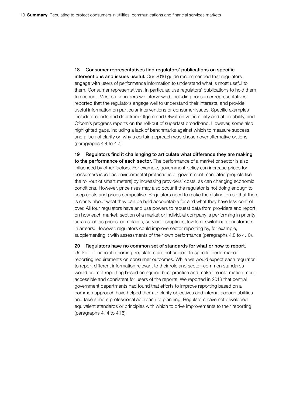18 Consumer representatives find regulators' publications on specific interventions and issues useful. Our 2016 guide recommended that regulators engage with users of performance information to understand what is most useful to them. Consumer representatives, in particular, use regulators' publications to hold them to account. Most stakeholders we interviewed, including consumer representatives, reported that the regulators engage well to understand their interests, and provide useful information on particular interventions or consumer issues. Specific examples included reports and data from Ofgem and Ofwat on vulnerability and affordability, and Ofcom's progress reports on the roll-out of superfast broadband. However, some also highlighted gaps, including a lack of benchmarks against which to measure success, and a lack of clarity on why a certain approach was chosen over alternative options (paragraphs 4.4 to 4.7).

19 Regulators find it challenging to articulate what difference they are making to the performance of each sector. The performance of a market or sector is also influenced by other factors. For example, government policy can increase prices for consumers (such as environmental protections or government mandated projects like the roll-out of smart meters) by increasing providers' costs, as can changing economic conditions. However, price rises may also occur if the regulator is not doing enough to keep costs and prices competitive. Regulators need to make the distinction so that there is clarity about what they can be held accountable for and what they have less control over. All four regulators have and use powers to request data from providers and report on how each market, section of a market or individual company is performing in priority areas such as prices, complaints, service disruptions, levels of switching or customers in arrears. However, regulators could improve sector reporting by, for example, supplementing it with assessments of their own performance (paragraphs 4.8 to 4.10).

20 Regulators have no common set of standards for what or how to report. Unlike for financial reporting, regulators are not subject to specific performance reporting requirements on consumer outcomes. While we would expect each regulator to report different information relevant to their role and sector, common standards would prompt reporting based on agreed best practice and make the information more accessible and consistent for users of the reports. We reported in 2018 that central government departments had found that efforts to improve reporting based on a common approach have helped them to clarify objectives and internal accountabilities and take a more professional approach to planning. Regulators have not developed equivalent standards or principles with which to drive improvements to their reporting (paragraphs 4.14 to 4.16).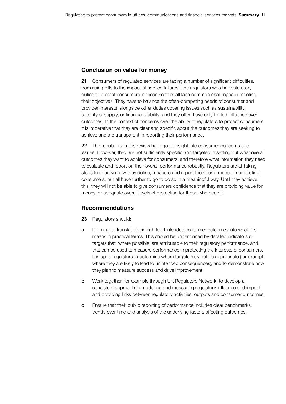### Conclusion on value for money

21 Consumers of regulated services are facing a number of significant difficulties, from rising bills to the impact of service failures. The regulators who have statutory duties to protect consumers in these sectors all face common challenges in meeting their objectives. They have to balance the often-competing needs of consumer and provider interests, alongside other duties covering issues such as sustainability, security of supply, or financial stability, and they often have only limited influence over outcomes. In the context of concerns over the ability of regulators to protect consumers it is imperative that they are clear and specific about the outcomes they are seeking to achieve and are transparent in reporting their performance.

22 The regulators in this review have good insight into consumer concerns and issues. However, they are not sufficiently specific and targeted in setting out what overall outcomes they want to achieve for consumers, and therefore what information they need to evaluate and report on their overall performance robustly. Regulators are all taking steps to improve how they define, measure and report their performance in protecting consumers, but all have further to go to do so in a meaningful way. Until they achieve this, they will not be able to give consumers confidence that they are providing value for money, or adequate overall levels of protection for those who need it.

### Recommendations

- 23 Regulators should:
- **a** Do more to translate their high-level intended consumer outcomes into what this means in practical terms. This should be underpinned by detailed indicators or targets that, where possible, are attributable to their regulatory performance, and that can be used to measure performance in protecting the interests of consumers. It is up to regulators to determine where targets may not be appropriate (for example where they are likely to lead to unintended consequences), and to demonstrate how they plan to measure success and drive improvement.
- **b** Work together, for example through UK Regulators Network, to develop a consistent approach to modelling and measuring regulatory influence and impact, and providing links between regulatory activities, outputs and consumer outcomes.
- c Ensure that their public reporting of performance includes clear benchmarks, trends over time and analysis of the underlying factors affecting outcomes.